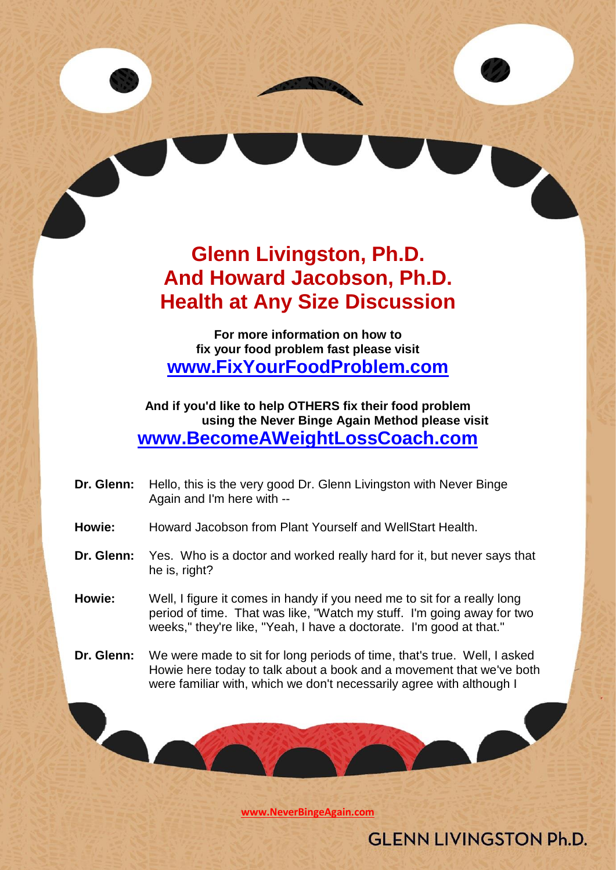# **Glenn Livingston, Ph.D. And Howard Jacobson, Ph.D. Health at Any Size Discussion**

**For more information on how to fix your food problem fast please visit [www.FixYourFoodProblem.com](http://www.fixyourfoodproblem.com/)**

**And if you'd like to help OTHERS fix their food problem using the Never Binge Again Method please visit [www.BecomeAWeightLossCoach.com](http://www.becomeaweightlosscoach.com/)**

- **Dr. Glenn:** Hello, this is the very good Dr. Glenn Livingston with Never Binge Again and I'm here with --
- **Howie:** Howard Jacobson from Plant Yourself and WellStart Health.
- **Dr. Glenn:** Yes. Who is a doctor and worked really hard for it, but never says that he is, right?
- **Howie:** Well, I figure it comes in handy if you need me to sit for a really long period of time. That was like, "Watch my stuff. I'm going away for two weeks," they're like, "Yeah, I have a doctorate. I'm good at that."
- **Dr. Glenn:** We were made to sit for long periods of time, that's true. Well, I asked Howie here today to talk about a book and a movement that we've both were familiar with, which we don't necessarily agree with although I

**[www.NeverBingeAgain.com](http://www.neverbingeagain.com/)**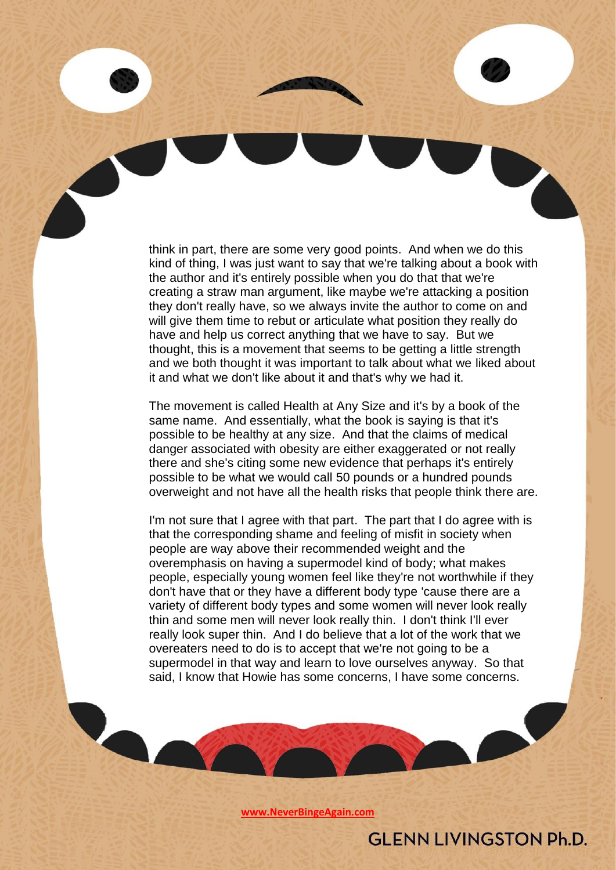think in part, there are some very good points. And when we do this kind of thing, I was just want to say that we're talking about a book with the author and it's entirely possible when you do that that we're creating a straw man argument, like maybe we're attacking a position they don't really have, so we always invite the author to come on and will give them time to rebut or articulate what position they really do have and help us correct anything that we have to say. But we thought, this is a movement that seems to be getting a little strength and we both thought it was important to talk about what we liked about it and what we don't like about it and that's why we had it.

The movement is called Health at Any Size and it's by a book of the same name. And essentially, what the book is saying is that it's possible to be healthy at any size. And that the claims of medical danger associated with obesity are either exaggerated or not really there and she's citing some new evidence that perhaps it's entirely possible to be what we would call 50 pounds or a hundred pounds overweight and not have all the health risks that people think there are.

I'm not sure that I agree with that part. The part that I do agree with is that the corresponding shame and feeling of misfit in society when people are way above their recommended weight and the overemphasis on having a supermodel kind of body; what makes people, especially young women feel like they're not worthwhile if they don't have that or they have a different body type 'cause there are a variety of different body types and some women will never look really thin and some men will never look really thin. I don't think I'll ever really look super thin. And I do believe that a lot of the work that we overeaters need to do is to accept that we're not going to be a supermodel in that way and learn to love ourselves anyway. So that said, I know that Howie has some concerns, I have some concerns.

**[www.NeverBingeAgain.com](http://www.neverbingeagain.com/)**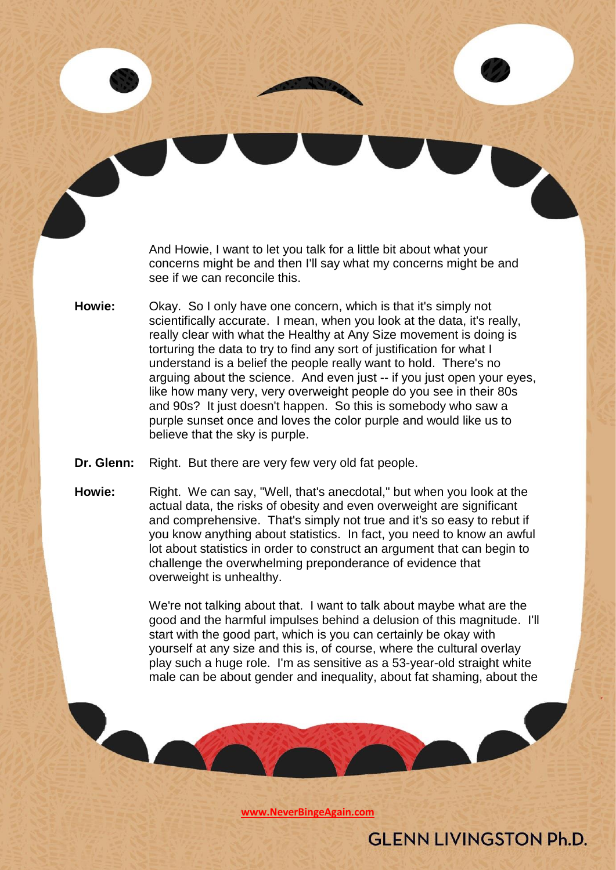And Howie, I want to let you talk for a little bit about what your concerns might be and then I'll say what my concerns might be and see if we can reconcile this.

- **Howie:** Okay. So I only have one concern, which is that it's simply not scientifically accurate. I mean, when you look at the data, it's really, really clear with what the Healthy at Any Size movement is doing is torturing the data to try to find any sort of justification for what I understand is a belief the people really want to hold. There's no arguing about the science. And even just -- if you just open your eyes, like how many very, very overweight people do you see in their 80s and 90s? It just doesn't happen. So this is somebody who saw a purple sunset once and loves the color purple and would like us to believe that the sky is purple.
- **Dr. Glenn:** Right. But there are very few very old fat people.

**Howie:** Right. We can say, "Well, that's anecdotal," but when you look at the actual data, the risks of obesity and even overweight are significant and comprehensive. That's simply not true and it's so easy to rebut if you know anything about statistics. In fact, you need to know an awful lot about statistics in order to construct an argument that can begin to challenge the overwhelming preponderance of evidence that overweight is unhealthy.

> We're not talking about that. I want to talk about maybe what are the good and the harmful impulses behind a delusion of this magnitude. I'll start with the good part, which is you can certainly be okay with yourself at any size and this is, of course, where the cultural overlay play such a huge role. I'm as sensitive as a 53-year-old straight white male can be about gender and inequality, about fat shaming, about the

> > **[www.NeverBingeAgain.com](http://www.neverbingeagain.com/)**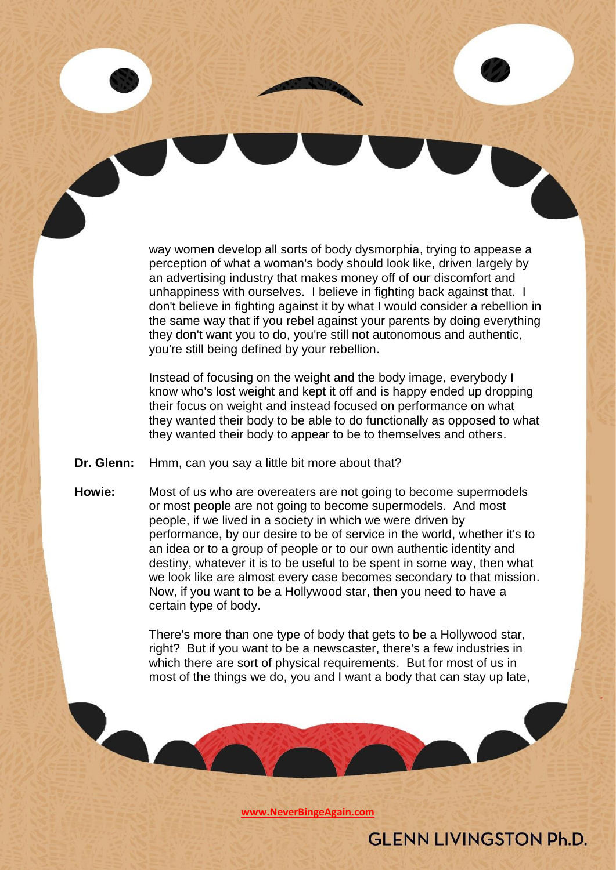way women develop all sorts of body dysmorphia, trying to appease a perception of what a woman's body should look like, driven largely by an advertising industry that makes money off of our discomfort and unhappiness with ourselves. I believe in fighting back against that. I don't believe in fighting against it by what I would consider a rebellion in the same way that if you rebel against your parents by doing everything they don't want you to do, you're still not autonomous and authentic, you're still being defined by your rebellion.

Instead of focusing on the weight and the body image, everybody I know who's lost weight and kept it off and is happy ended up dropping their focus on weight and instead focused on performance on what they wanted their body to be able to do functionally as opposed to what they wanted their body to appear to be to themselves and others.

**Dr. Glenn:** Hmm, can you say a little bit more about that?

**Howie:** Most of us who are overeaters are not going to become supermodels or most people are not going to become supermodels. And most people, if we lived in a society in which we were driven by performance, by our desire to be of service in the world, whether it's to an idea or to a group of people or to our own authentic identity and destiny, whatever it is to be useful to be spent in some way, then what we look like are almost every case becomes secondary to that mission. Now, if you want to be a Hollywood star, then you need to have a certain type of body.

> There's more than one type of body that gets to be a Hollywood star, right? But if you want to be a newscaster, there's a few industries in which there are sort of physical requirements. But for most of us in most of the things we do, you and I want a body that can stay up late,

> > **GLENN LIVINGSTON Ph.D.**

**[www.NeverBingeAgain.com](http://www.neverbingeagain.com/)**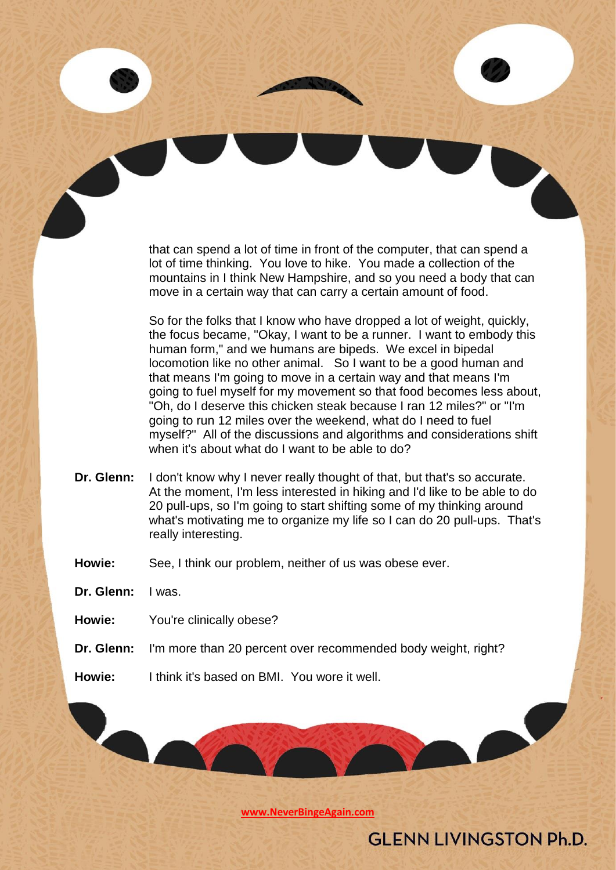that can spend a lot of time in front of the computer, that can spend a lot of time thinking. You love to hike. You made a collection of the mountains in I think New Hampshire, and so you need a body that can move in a certain way that can carry a certain amount of food.

So for the folks that I know who have dropped a lot of weight, quickly, the focus became, "Okay, I want to be a runner. I want to embody this human form," and we humans are bipeds. We excel in bipedal locomotion like no other animal. So I want to be a good human and that means I'm going to move in a certain way and that means I'm going to fuel myself for my movement so that food becomes less about, "Oh, do I deserve this chicken steak because I ran 12 miles?" or "I'm going to run 12 miles over the weekend, what do I need to fuel myself?" All of the discussions and algorithms and considerations shift when it's about what do I want to be able to do?

- **Dr. Glenn:** I don't know why I never really thought of that, but that's so accurate. At the moment, I'm less interested in hiking and I'd like to be able to do 20 pull-ups, so I'm going to start shifting some of my thinking around what's motivating me to organize my life so I can do 20 pull-ups. That's really interesting.
- **Howie:** See, I think our problem, neither of us was obese ever.
- **Dr. Glenn:** I was.
- **Howie:** You're clinically obese?

- **Dr. Glenn:** I'm more than 20 percent over recommended body weight, right?
- **Howie:** I think it's based on BMI. You wore it well.

**[www.NeverBingeAgain.com](http://www.neverbingeagain.com/)**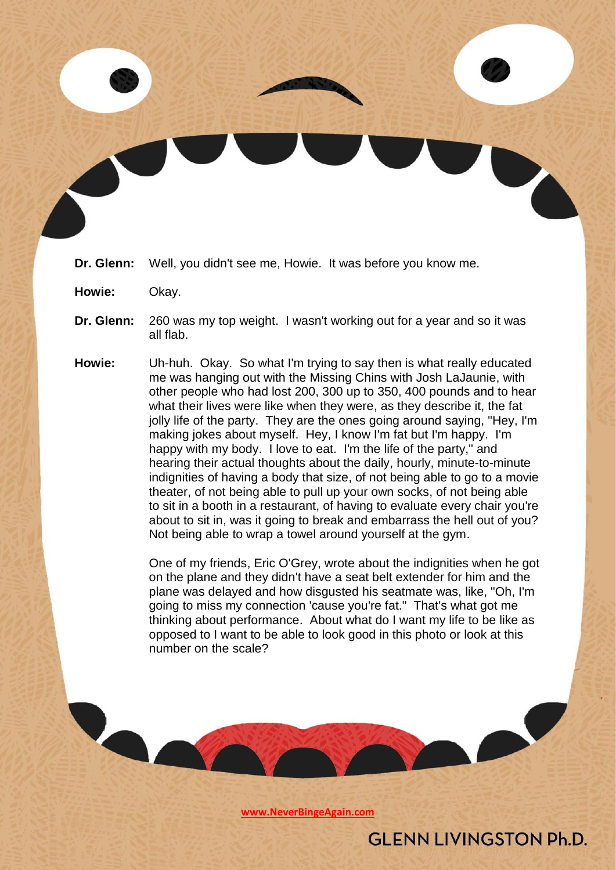- **Dr. Glenn:** Well, you didn't see me, Howie. It was before you know me.
- **Howie:** Okay.
- **Dr. Glenn:** 260 was my top weight. I wasn't working out for a year and so it was all flab.
- **Howie:** Uh-huh. Okay. So what I'm trying to say then is what really educated me was hanging out with the Missing Chins with Josh LaJaunie, with other people who had lost 200, 300 up to 350, 400 pounds and to hear what their lives were like when they were, as they describe it, the fat jolly life of the party. They are the ones going around saying, "Hey, I'm making jokes about myself. Hey, I know I'm fat but I'm happy. I'm happy with my body. I love to eat. I'm the life of the party," and hearing their actual thoughts about the daily, hourly, minute-to-minute indignities of having a body that size, of not being able to go to a movie theater, of not being able to pull up your own socks, of not being able to sit in a booth in a restaurant, of having to evaluate every chair you're about to sit in, was it going to break and embarrass the hell out of you? Not being able to wrap a towel around yourself at the gym.

One of my friends, Eric O'Grey, wrote about the indignities when he got on the plane and they didn't have a seat belt extender for him and the plane was delayed and how disgusted his seatmate was, like, "Oh, I'm going to miss my connection 'cause you're fat." That's what got me thinking about performance. About what do I want my life to be like as opposed to I want to be able to look good in this photo or look at this number on the scale?

**[www.NeverBingeAgain.com](http://www.neverbingeagain.com/)**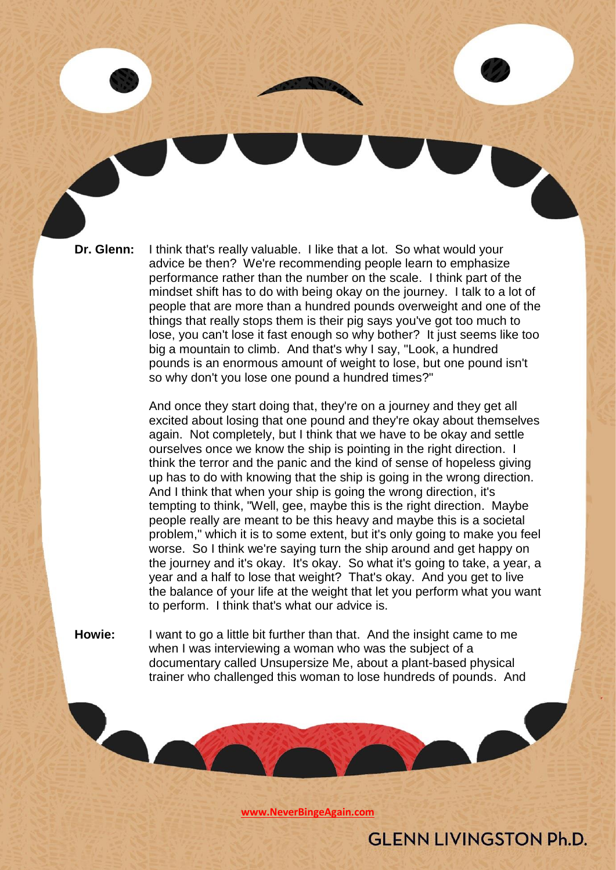**Dr. Glenn:** I think that's really valuable. I like that a lot. So what would your advice be then? We're recommending people learn to emphasize performance rather than the number on the scale. I think part of the mindset shift has to do with being okay on the journey. I talk to a lot of people that are more than a hundred pounds overweight and one of the things that really stops them is their pig says you've got too much to lose, you can't lose it fast enough so why bother? It just seems like too big a mountain to climb. And that's why I say, "Look, a hundred pounds is an enormous amount of weight to lose, but one pound isn't so why don't you lose one pound a hundred times?"

> And once they start doing that, they're on a journey and they get all excited about losing that one pound and they're okay about themselves again. Not completely, but I think that we have to be okay and settle ourselves once we know the ship is pointing in the right direction. I think the terror and the panic and the kind of sense of hopeless giving up has to do with knowing that the ship is going in the wrong direction. And I think that when your ship is going the wrong direction, it's tempting to think, "Well, gee, maybe this is the right direction. Maybe people really are meant to be this heavy and maybe this is a societal problem," which it is to some extent, but it's only going to make you feel worse. So I think we're saying turn the ship around and get happy on the journey and it's okay. It's okay. So what it's going to take, a year, a year and a half to lose that weight? That's okay. And you get to live the balance of your life at the weight that let you perform what you want to perform. I think that's what our advice is.

**Howie:** I want to go a little bit further than that. And the insight came to me when I was interviewing a woman who was the subject of a documentary called Unsupersize Me, about a plant-based physical trainer who challenged this woman to lose hundreds of pounds. And

**[www.NeverBingeAgain.com](http://www.neverbingeagain.com/)**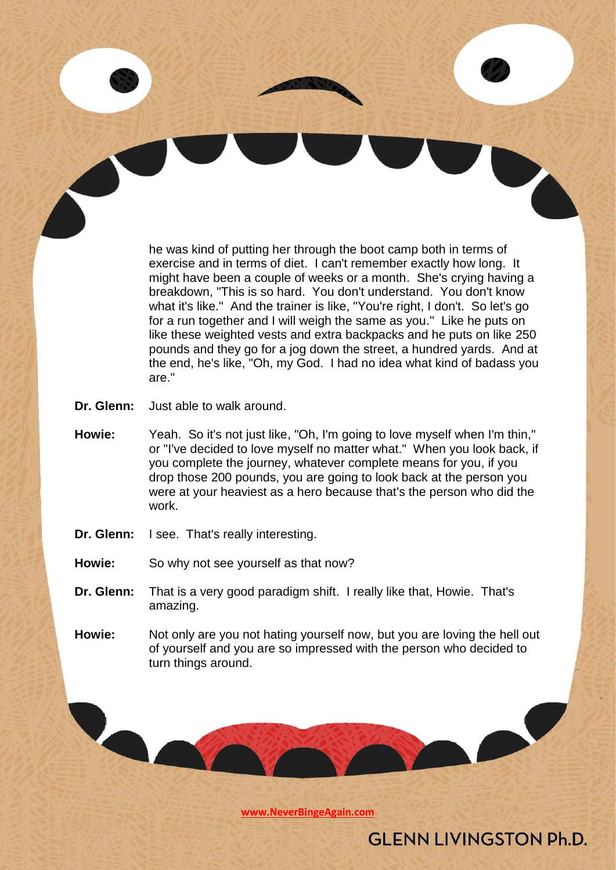he was kind of putting her through the boot camp both in terms of exercise and in terms of diet. I can't remember exactly how long. It might have been a couple of weeks or a month. She's crying having a breakdown, "This is so hard. You don't understand. You don't know what it's like." And the trainer is like, "You're right, I don't. So let's go for a run together and I will weigh the same as you." Like he puts on like these weighted vests and extra backpacks and he puts on like 250 pounds and they go for a jog down the street, a hundred yards. And at the end, he's like, "Oh, my God. I had no idea what kind of badass you are."

**Dr. Glenn:** Just able to walk around.

- **Howie:** Yeah. So it's not just like, "Oh, I'm going to love myself when I'm thin," or "I've decided to love myself no matter what." When you look back, if you complete the journey, whatever complete means for you, if you drop those 200 pounds, you are going to look back at the person you were at your heaviest as a hero because that's the person who did the work.
- **Dr. Glenn:** I see. That's really interesting.
- **Howie:** So why not see yourself as that now?
- **Dr. Glenn:** That is a very good paradigm shift. I really like that, Howie. That's amazing.
- **Howie:** Not only are you not hating yourself now, but you are loving the hell out of yourself and you are so impressed with the person who decided to turn things around.

**[www.NeverBingeAgain.com](http://www.neverbingeagain.com/)**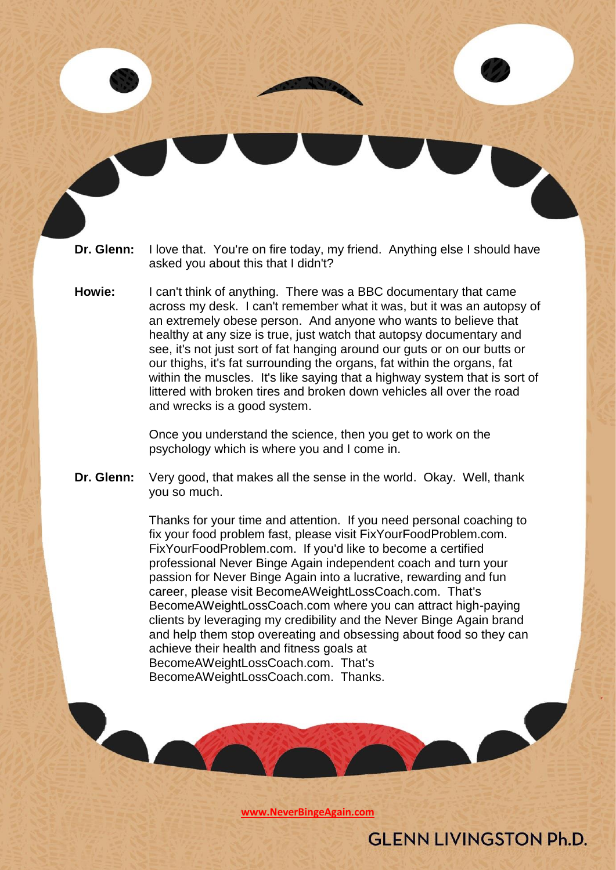- **Dr. Glenn:** I love that. You're on fire today, my friend. Anything else I should have asked you about this that I didn't?
- **Howie:** I can't think of anything. There was a BBC documentary that came across my desk. I can't remember what it was, but it was an autopsy of an extremely obese person. And anyone who wants to believe that healthy at any size is true, just watch that autopsy documentary and see, it's not just sort of fat hanging around our guts or on our butts or our thighs, it's fat surrounding the organs, fat within the organs, fat within the muscles. It's like saying that a highway system that is sort of littered with broken tires and broken down vehicles all over the road and wrecks is a good system.

Once you understand the science, then you get to work on the psychology which is where you and I come in.

**Dr. Glenn:** Very good, that makes all the sense in the world. Okay. Well, thank you so much.

> Thanks for your time and attention. If you need personal coaching to fix your food problem fast, please visit FixYourFoodProblem.com. FixYourFoodProblem.com. If you'd like to become a certified professional Never Binge Again independent coach and turn your passion for Never Binge Again into a lucrative, rewarding and fun career, please visit BecomeAWeightLossCoach.com. That's BecomeAWeightLossCoach.com where you can attract high-paying clients by leveraging my credibility and the Never Binge Again brand and help them stop overeating and obsessing about food so they can achieve their health and fitness goals at BecomeAWeightLossCoach.com. That's BecomeAWeightLossCoach.com. Thanks.

> > **[www.NeverBingeAgain.com](http://www.neverbingeagain.com/)**